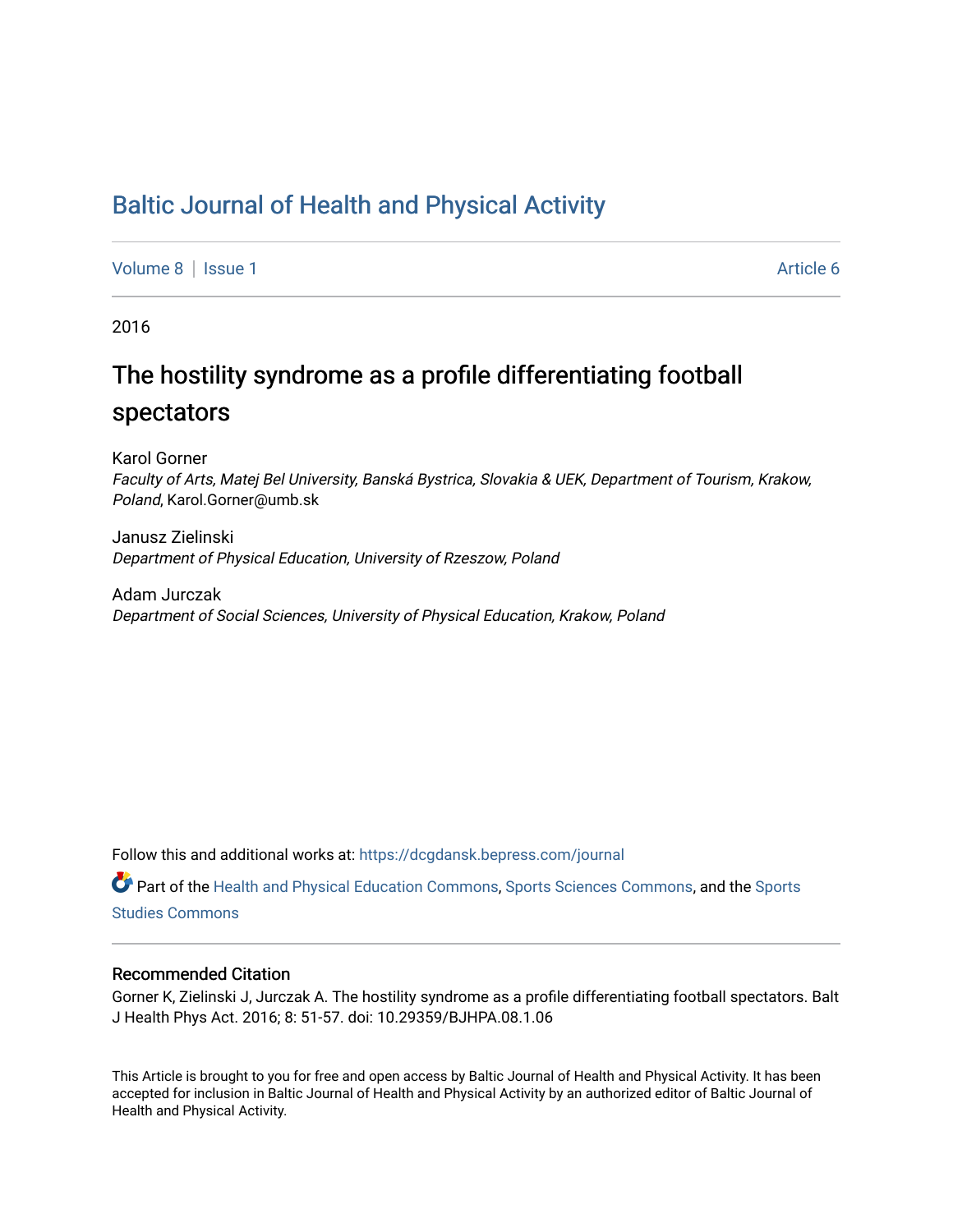# [Baltic Journal of Health and Physical Activity](https://dcgdansk.bepress.com/journal)

[Volume 8](https://dcgdansk.bepress.com/journal/vol8) | [Issue 1](https://dcgdansk.bepress.com/journal/vol8/iss1) Article 6

2016

# The hostility syndrome as a profile differentiating football spectators

Karol Gorner Faculty of Arts, Matej Bel University, Banská Bystrica, Slovakia & UEK, Department of Tourism, Krakow, Poland, Karol.Gorner@umb.sk

Janusz Zielinski Department of Physical Education, University of Rzeszow, Poland

Adam Jurczak Department of Social Sciences, University of Physical Education, Krakow, Poland

Follow this and additional works at: [https://dcgdansk.bepress.com/journal](https://dcgdansk.bepress.com/journal?utm_source=dcgdansk.bepress.com%2Fjournal%2Fvol8%2Fiss1%2F6&utm_medium=PDF&utm_campaign=PDFCoverPages)

Part of the [Health and Physical Education Commons](http://network.bepress.com/hgg/discipline/1327?utm_source=dcgdansk.bepress.com%2Fjournal%2Fvol8%2Fiss1%2F6&utm_medium=PDF&utm_campaign=PDFCoverPages), [Sports Sciences Commons](http://network.bepress.com/hgg/discipline/759?utm_source=dcgdansk.bepress.com%2Fjournal%2Fvol8%2Fiss1%2F6&utm_medium=PDF&utm_campaign=PDFCoverPages), and the [Sports](http://network.bepress.com/hgg/discipline/1198?utm_source=dcgdansk.bepress.com%2Fjournal%2Fvol8%2Fiss1%2F6&utm_medium=PDF&utm_campaign=PDFCoverPages)  [Studies Commons](http://network.bepress.com/hgg/discipline/1198?utm_source=dcgdansk.bepress.com%2Fjournal%2Fvol8%2Fiss1%2F6&utm_medium=PDF&utm_campaign=PDFCoverPages) 

#### Recommended Citation

Gorner K, Zielinski J, Jurczak A. The hostility syndrome as a profile differentiating football spectators. Balt J Health Phys Act. 2016; 8: 51-57. doi: 10.29359/BJHPA.08.1.06

This Article is brought to you for free and open access by Baltic Journal of Health and Physical Activity. It has been accepted for inclusion in Baltic Journal of Health and Physical Activity by an authorized editor of Baltic Journal of Health and Physical Activity.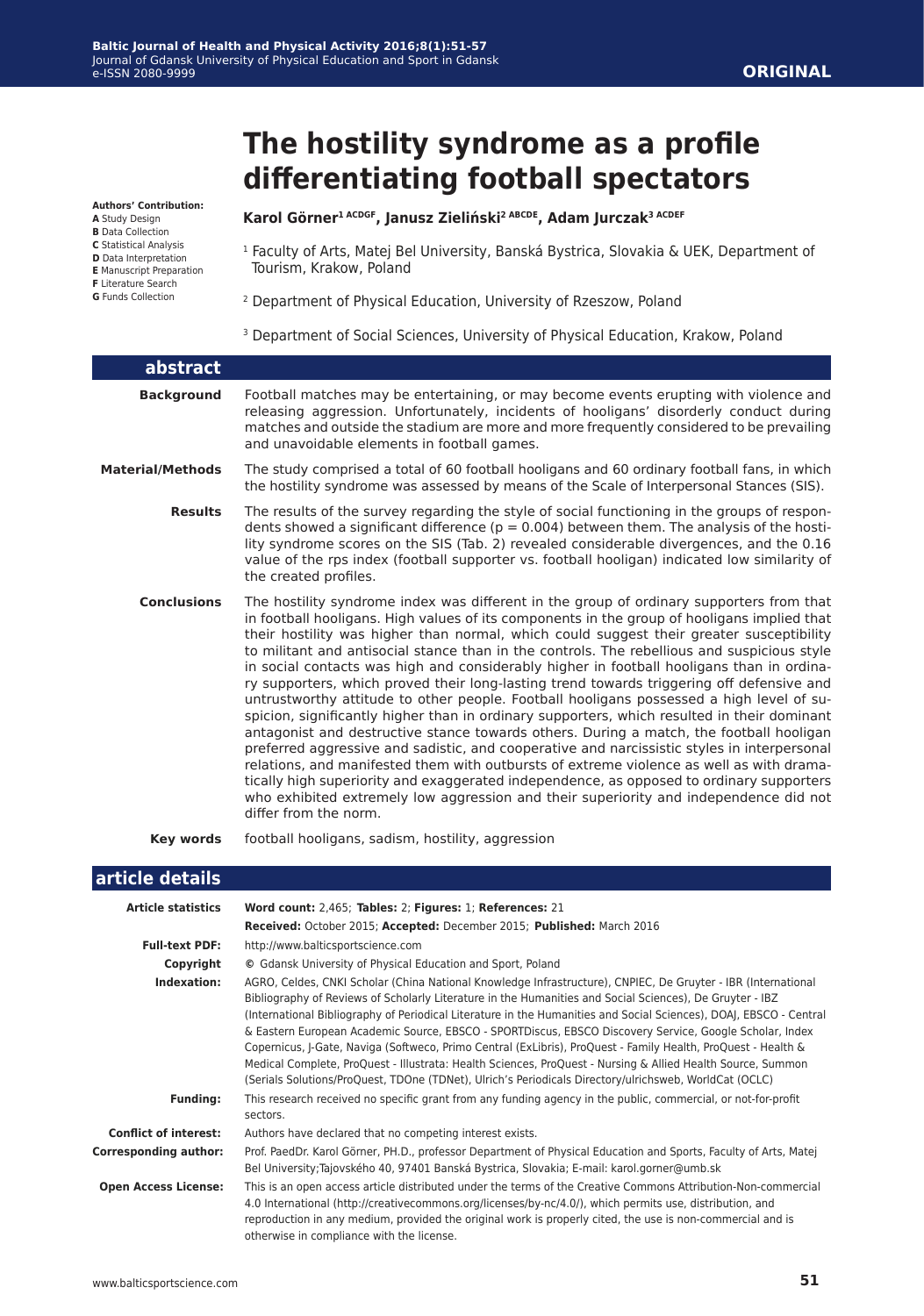#### **Authors' Contribution:**

**A** Study Design

- **B** Data Collection **C** Statistical Analysis
- **D** Data Interpretation
- **E** Manuscript Preparation
- **F** Literature Search
- **G** Funds Collection

**The hostility syndrome as a profile differentiating football spectators**

#### **Karol Görner1 ACDGF, Janusz Zieliński2 ABCDE, Adam Jurczak3 ACDEF**

- <sup>1</sup> Faculty of Arts, Matej Bel University, Banská Bystrica, Slovakia & UEK, Department of Tourism, Krakow, Poland
- 2 Department of Physical Education, University of Rzeszow, Poland
- <sup>3</sup> Department of Social Sciences, University of Physical Education, Krakow, Poland

| abstract                |                                                                                                                                                                                                                                                                                                                                                                                                                                                                                                                                                                                                                                                                                                                                                                                                                                                                                                                                                                                                                                                                                                                                                                                                                                                                             |
|-------------------------|-----------------------------------------------------------------------------------------------------------------------------------------------------------------------------------------------------------------------------------------------------------------------------------------------------------------------------------------------------------------------------------------------------------------------------------------------------------------------------------------------------------------------------------------------------------------------------------------------------------------------------------------------------------------------------------------------------------------------------------------------------------------------------------------------------------------------------------------------------------------------------------------------------------------------------------------------------------------------------------------------------------------------------------------------------------------------------------------------------------------------------------------------------------------------------------------------------------------------------------------------------------------------------|
| <b>Background</b>       | Football matches may be entertaining, or may become events erupting with violence and<br>releasing aggression. Unfortunately, incidents of hooligans' disorderly conduct during<br>matches and outside the stadium are more and more frequently considered to be prevailing<br>and unavoidable elements in football games.                                                                                                                                                                                                                                                                                                                                                                                                                                                                                                                                                                                                                                                                                                                                                                                                                                                                                                                                                  |
| <b>Material/Methods</b> | The study comprised a total of 60 football hooligans and 60 ordinary football fans, in which<br>the hostility syndrome was assessed by means of the Scale of Interpersonal Stances (SIS).                                                                                                                                                                                                                                                                                                                                                                                                                                                                                                                                                                                                                                                                                                                                                                                                                                                                                                                                                                                                                                                                                   |
| <b>Results</b>          | The results of the survey regarding the style of social functioning in the groups of respon-<br>dents showed a significant difference ( $p = 0.004$ ) between them. The analysis of the hosti-<br>lity syndrome scores on the SIS (Tab. 2) revealed considerable divergences, and the 0.16<br>value of the rps index (football supporter vs. football hooligan) indicated low similarity of<br>the created profiles.                                                                                                                                                                                                                                                                                                                                                                                                                                                                                                                                                                                                                                                                                                                                                                                                                                                        |
| <b>Conclusions</b>      | The hostility syndrome index was different in the group of ordinary supporters from that<br>in football hooligans. High values of its components in the group of hooligans implied that<br>their hostility was higher than normal, which could suggest their greater susceptibility<br>to militant and antisocial stance than in the controls. The rebellious and suspicious style<br>in social contacts was high and considerably higher in football hooligans than in ordina-<br>ry supporters, which proved their long-lasting trend towards triggering off defensive and<br>untrustworthy attitude to other people. Football hooligans possessed a high level of su-<br>spicion, significantly higher than in ordinary supporters, which resulted in their dominant<br>antagonist and destructive stance towards others. During a match, the football hooligan<br>preferred aggressive and sadistic, and cooperative and narcissistic styles in interpersonal<br>relations, and manifested them with outbursts of extreme violence as well as with drama-<br>tically high superiority and exaggerated independence, as opposed to ordinary supporters<br>who exhibited extremely low aggression and their superiority and independence did not<br>differ from the norm. |

**Key words** football hooligans, sadism, hostility, aggression

#### **article details**

| <b>Article statistics</b>    | Word count: 2,465; Tables: 2; Figures: 1; References: 21                                                                                                                                                                                                                                                                                                                                                                                                                                                                                                                                                                                                                                                                                                                                             |
|------------------------------|------------------------------------------------------------------------------------------------------------------------------------------------------------------------------------------------------------------------------------------------------------------------------------------------------------------------------------------------------------------------------------------------------------------------------------------------------------------------------------------------------------------------------------------------------------------------------------------------------------------------------------------------------------------------------------------------------------------------------------------------------------------------------------------------------|
|                              | Received: October 2015; Accepted: December 2015; Published: March 2016                                                                                                                                                                                                                                                                                                                                                                                                                                                                                                                                                                                                                                                                                                                               |
| <b>Full-text PDF:</b>        | http://www.balticsportscience.com                                                                                                                                                                                                                                                                                                                                                                                                                                                                                                                                                                                                                                                                                                                                                                    |
| Copyright                    | © Gdansk University of Physical Education and Sport, Poland                                                                                                                                                                                                                                                                                                                                                                                                                                                                                                                                                                                                                                                                                                                                          |
| Indexation:                  | AGRO, Celdes, CNKI Scholar (China National Knowledge Infrastructure), CNPIEC, De Gruyter - IBR (International<br>Bibliography of Reviews of Scholarly Literature in the Humanities and Social Sciences), De Gruyter - IBZ<br>(International Bibliography of Periodical Literature in the Humanities and Social Sciences), DOAJ, EBSCO - Central<br>& Eastern European Academic Source, EBSCO - SPORTDiscus, EBSCO Discovery Service, Google Scholar, Index<br>Copernicus, J-Gate, Naviga (Softweco, Primo Central (ExLibris), ProQuest - Family Health, ProQuest - Health &<br>Medical Complete, ProQuest - Illustrata: Health Sciences, ProQuest - Nursing & Allied Health Source, Summon<br>(Serials Solutions/ProQuest, TDOne (TDNet), Ulrich's Periodicals Directory/ulrichsweb, WorldCat (OCLC) |
| <b>Funding:</b>              | This research received no specific grant from any funding agency in the public, commercial, or not-for-profit<br>sectors.                                                                                                                                                                                                                                                                                                                                                                                                                                                                                                                                                                                                                                                                            |
| <b>Conflict of interest:</b> | Authors have declared that no competing interest exists.                                                                                                                                                                                                                                                                                                                                                                                                                                                                                                                                                                                                                                                                                                                                             |
| <b>Corresponding author:</b> | Prof. PaedDr. Karol Görner, PH.D., professor Department of Physical Education and Sports, Faculty of Arts, Matej<br>Bel University; Tajovského 40, 97401 Banská Bystrica, Slovakia; E-mail: karol.gorner@umb.sk                                                                                                                                                                                                                                                                                                                                                                                                                                                                                                                                                                                      |
| <b>Open Access License:</b>  | This is an open access article distributed under the terms of the Creative Commons Attribution-Non-commercial<br>4.0 International (http://creativecommons.org/licenses/by-nc/4.0/), which permits use, distribution, and<br>reproduction in any medium, provided the original work is properly cited, the use is non-commercial and is<br>otherwise in compliance with the license.                                                                                                                                                                                                                                                                                                                                                                                                                 |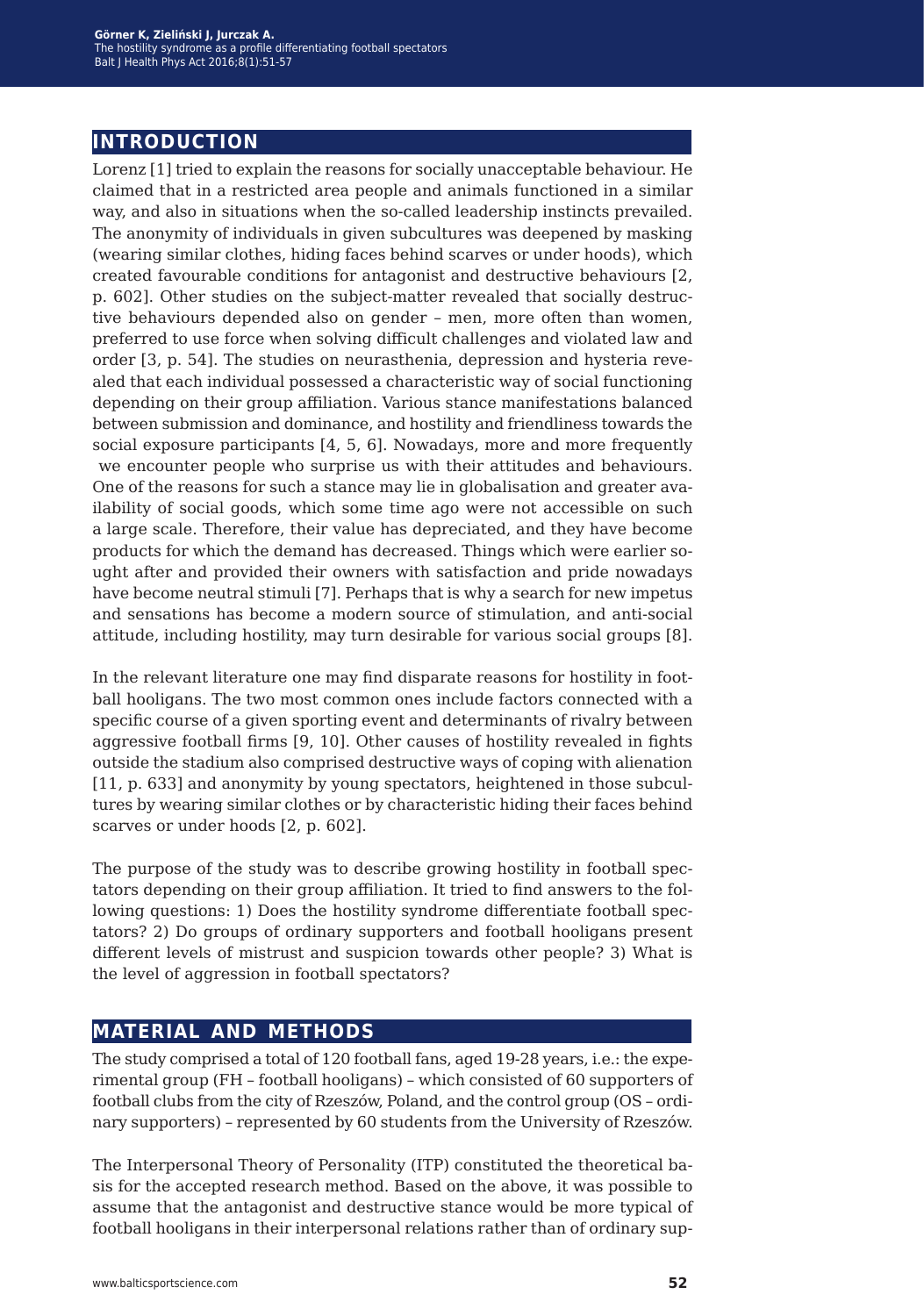## **introduction**

Lorenz [1] tried to explain the reasons for socially unacceptable behaviour. He claimed that in a restricted area people and animals functioned in a similar way, and also in situations when the so-called leadership instincts prevailed. The anonymity of individuals in given subcultures was deepened by masking (wearing similar clothes, hiding faces behind scarves or under hoods), which created favourable conditions for antagonist and destructive behaviours [2, p. 602]. Other studies on the subject-matter revealed that socially destructive behaviours depended also on gender – men, more often than women, preferred to use force when solving difficult challenges and violated law and order [3, p. 54]. The studies on neurasthenia, depression and hysteria revealed that each individual possessed a characteristic way of social functioning depending on their group affiliation. Various stance manifestations balanced between submission and dominance, and hostility and friendliness towards the social exposure participants [4, 5, 6]. Nowadays, more and more frequently we encounter people who surprise us with their attitudes and behaviours. One of the reasons for such a stance may lie in globalisation and greater availability of social goods, which some time ago were not accessible on such a large scale. Therefore, their value has depreciated, and they have become products for which the demand has decreased. Things which were earlier sought after and provided their owners with satisfaction and pride nowadays have become neutral stimuli [7]. Perhaps that is why a search for new impetus and sensations has become a modern source of stimulation, and anti-social attitude, including hostility, may turn desirable for various social groups [8].

In the relevant literature one may find disparate reasons for hostility in football hooligans. The two most common ones include factors connected with a specific course of a given sporting event and determinants of rivalry between aggressive football firms [9, 10]. Other causes of hostility revealed in fights outside the stadium also comprised destructive ways of coping with alienation [11, p. 633] and anonymity by young spectators, heightened in those subcultures by wearing similar clothes or by characteristic hiding their faces behind scarves or under hoods [2, p. 602].

The purpose of the study was to describe growing hostility in football spectators depending on their group affiliation. It tried to find answers to the following questions: 1) Does the hostility syndrome differentiate football spectators? 2) Do groups of ordinary supporters and football hooligans present different levels of mistrust and suspicion towards other people? 3) What is the level of aggression in football spectators?

## **material and methods**

The study comprised a total of 120 football fans, aged 19-28 years, i.e.: the experimental group (FH – football hooligans) – which consisted of 60 supporters of football clubs from the city of Rzeszów, Poland, and the control group (OS – ordinary supporters) – represented by 60 students from the University of Rzeszów.

The Interpersonal Theory of Personality (ITP) constituted the theoretical basis for the accepted research method. Based on the above, it was possible to assume that the antagonist and destructive stance would be more typical of football hooligans in their interpersonal relations rather than of ordinary sup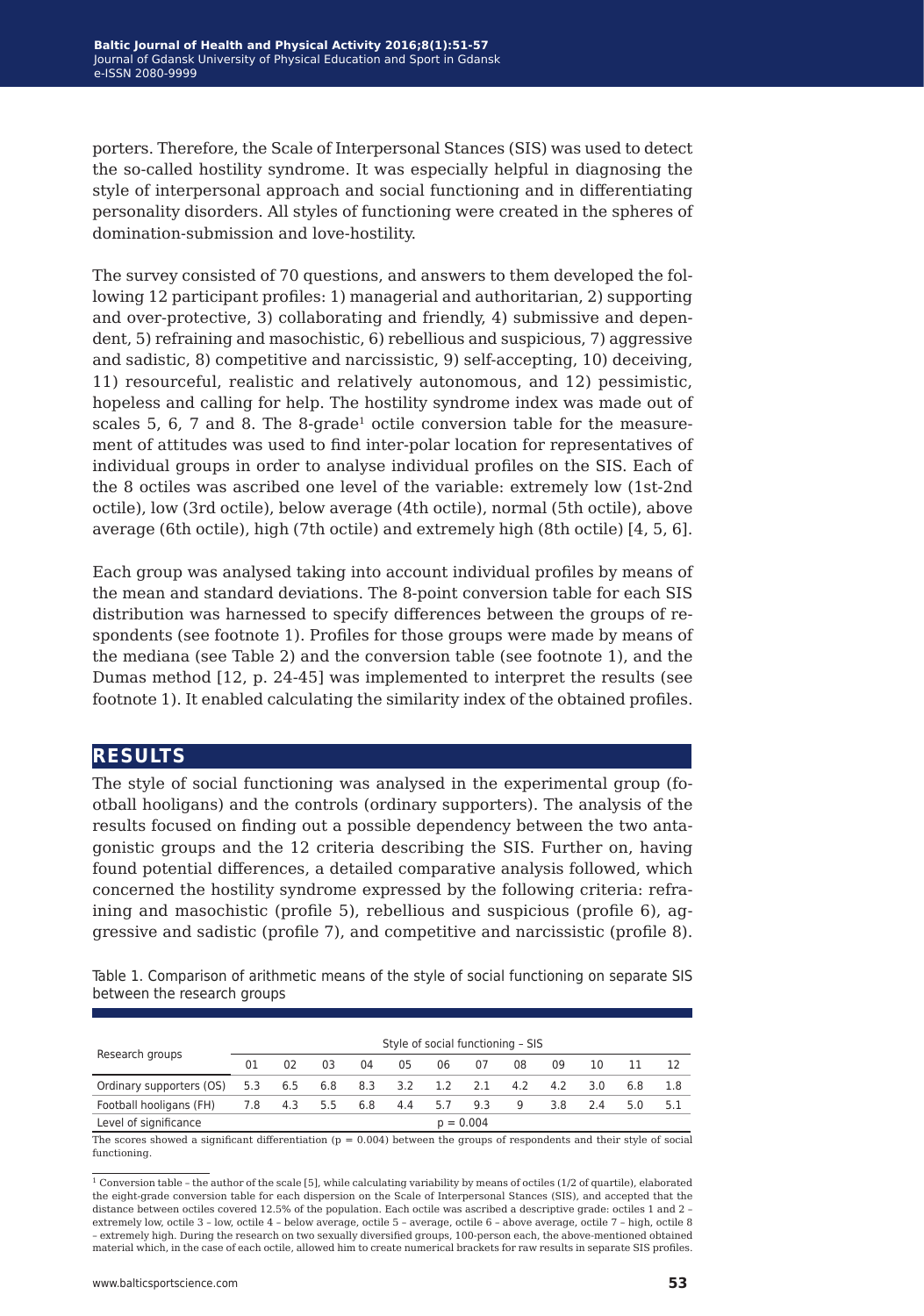porters. Therefore, the Scale of Interpersonal Stances (SIS) was used to detect the so-called hostility syndrome. It was especially helpful in diagnosing the style of interpersonal approach and social functioning and in differentiating personality disorders. All styles of functioning were created in the spheres of domination-submission and love-hostility.

The survey consisted of 70 questions, and answers to them developed the following 12 participant profiles: 1) managerial and authoritarian, 2) supporting and over-protective, 3) collaborating and friendly, 4) submissive and dependent, 5) refraining and masochistic, 6) rebellious and suspicious, 7) aggressive and sadistic, 8) competitive and narcissistic, 9) self-accepting, 10) deceiving, 11) resourceful, realistic and relatively autonomous, and 12) pessimistic, hopeless and calling for help. The hostility syndrome index was made out of scales  $5, 6, 7$  and  $8.$  The  $8$ -grade<sup>1</sup> octile conversion table for the measurement of attitudes was used to find inter-polar location for representatives of individual groups in order to analyse individual profiles on the SIS. Each of the 8 octiles was ascribed one level of the variable: extremely low (1st-2nd octile), low (3rd octile), below average (4th octile), normal (5th octile), above average (6th octile), high (7th octile) and extremely high (8th octile) [4, 5, 6].

Each group was analysed taking into account individual profiles by means of the mean and standard deviations. The 8-point conversion table for each SIS distribution was harnessed to specify differences between the groups of respondents (see footnote 1). Profiles for those groups were made by means of the mediana (see Table 2) and the conversion table (see footnote 1), and the Dumas method [12, p. 24-45] was implemented to interpret the results (see footnote 1). It enabled calculating the similarity index of the obtained profiles.

### **results**

The style of social functioning was analysed in the experimental group (football hooligans) and the controls (ordinary supporters). The analysis of the results focused on finding out a possible dependency between the two antagonistic groups and the 12 criteria describing the SIS. Further on, having found potential differences, a detailed comparative analysis followed, which concerned the hostility syndrome expressed by the following criteria: refraining and masochistic (profile 5), rebellious and suspicious (profile 6), aggressive and sadistic (profile 7), and competitive and narcissistic (profile 8).

Table 1. Comparison of arithmetic means of the style of social functioning on separate SIS between the research groups

| Research groups          | Style of social functioning - SIS |     |     |     |     |         |     |     |     |     |     |     |
|--------------------------|-----------------------------------|-----|-----|-----|-----|---------|-----|-----|-----|-----|-----|-----|
|                          | 01                                | 02  | 03  | 04  | 05  | 06      | 07  | 08  | 09  | 10  |     |     |
| Ordinary supporters (OS) | 5.3                               | 6.5 | 6.8 | 8.3 | 3.2 | 1.2 2.1 |     | 4.2 | 4.2 | 3 O | 6.8 | 1.8 |
| Football hooligans (FH)  | 7.8                               | 4.3 | 5.5 | 6.8 | 4.4 | 5.7     | 9.3 | 9   | 3.8 | 2.4 | 5.0 | 5.1 |
| Level of significance    | $p = 0.004$                       |     |     |     |     |         |     |     |     |     |     |     |

The scores showed a significant differentiation  $(p = 0.004)$  between the groups of respondents and their style of social functioning.

 $^{\rm 1}$  Conversion table – the author of the scale [5], while calculating variability by means of octiles (1/2 of quartile), elaborated the eight-grade conversion table for each dispersion on the Scale of Interpersonal Stances (SIS), and accepted that the distance between octiles covered 12.5% of the population. Each octile was ascribed a descriptive grade: octiles 1 and 2 – extremely low, octile 3 – low, octile 4 – below average, octile 5 – average, octile 6 – above average, octile 7 – high, octile 8 – extremely high. During the research on two sexually diversified groups, 100-person each, the above-mentioned obtained material which, in the case of each octile, allowed him to create numerical brackets for raw results in separate SIS profiles.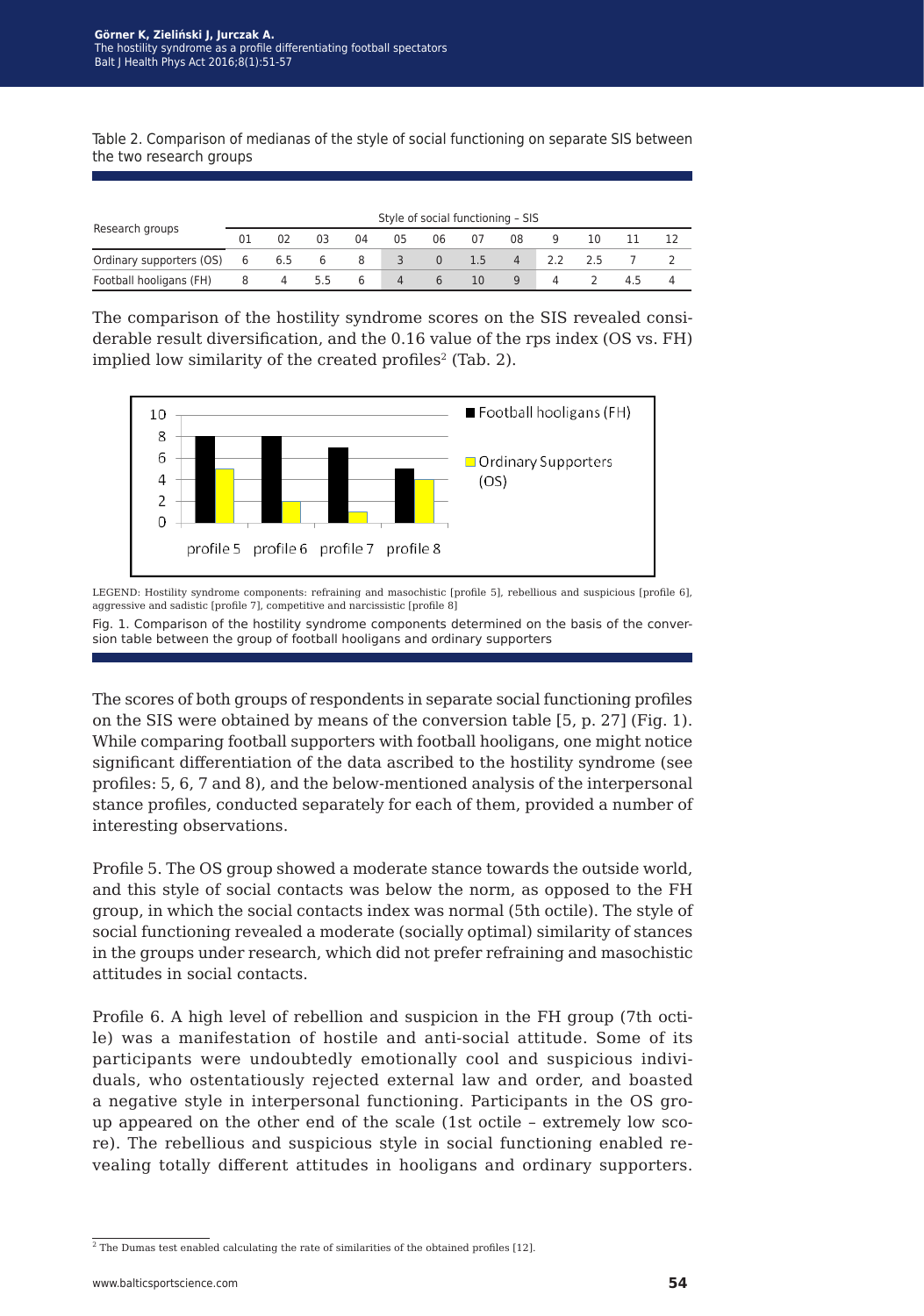Table 2. Comparison of medianas of the style of social functioning on separate SIS between the two research groups

| Research groups          | Style of social functioning - SIS |     |     |    |    |             |     |    |     |    |    |  |
|--------------------------|-----------------------------------|-----|-----|----|----|-------------|-----|----|-----|----|----|--|
|                          | 01                                | 02  | 03  | 04 | 05 | 06          | 07  | 08 |     | 10 |    |  |
| Ordinary supporters (OS) | 6                                 | 6.5 | 6   | 8  | 3  | $\Omega$    | 1.5 | 4  | 2.2 | フト |    |  |
| Football hooligans (FH)  | 8                                 | 4   | 5.5 | 6  | 4  | $\mathbf b$ | 10  | 9  |     |    | 45 |  |

The comparison of the hostility syndrome scores on the SIS revealed considerable result diversification, and the 0.16 value of the rps index (OS vs. FH) implied low similarity of the created profiles<sup>2</sup> (Tab. 2).



LEGEND: Hostility syndrome components: refraining and masochistic [profile 5], rebellious and suspicious [profile 6]. aggressive and sadistic [profile 7], competitive and narcissistic [profile 8]

Fig. 1. Comparison of the hostility syndrome components determined on the basis of the conversion table between the group of football hooligans and ordinary supporters

The scores of both groups of respondents in separate social functioning profiles on the SIS were obtained by means of the conversion table [5, p. 27] (Fig. 1). While comparing football supporters with football hooligans, one might notice significant differentiation of the data ascribed to the hostility syndrome (see profiles: 5, 6, 7 and 8), and the below-mentioned analysis of the interpersonal stance profiles, conducted separately for each of them, provided a number of interesting observations.

Profile 5. The OS group showed a moderate stance towards the outside world, and this style of social contacts was below the norm, as opposed to the FH group, in which the social contacts index was normal (5th octile). The style of social functioning revealed a moderate (socially optimal) similarity of stances in the groups under research, which did not prefer refraining and masochistic attitudes in social contacts.

Profile 6. A high level of rebellion and suspicion in the FH group (7th octile) was a manifestation of hostile and anti-social attitude. Some of its participants were undoubtedly emotionally cool and suspicious individuals, who ostentatiously rejected external law and order, and boasted a negative style in interpersonal functioning. Participants in the OS group appeared on the other end of the scale (1st octile – extremely low score). The rebellious and suspicious style in social functioning enabled revealing totally different attitudes in hooligans and ordinary supporters.

<sup>&</sup>lt;sup>2</sup> The Dumas test enabled calculating the rate of similarities of the obtained profiles [12].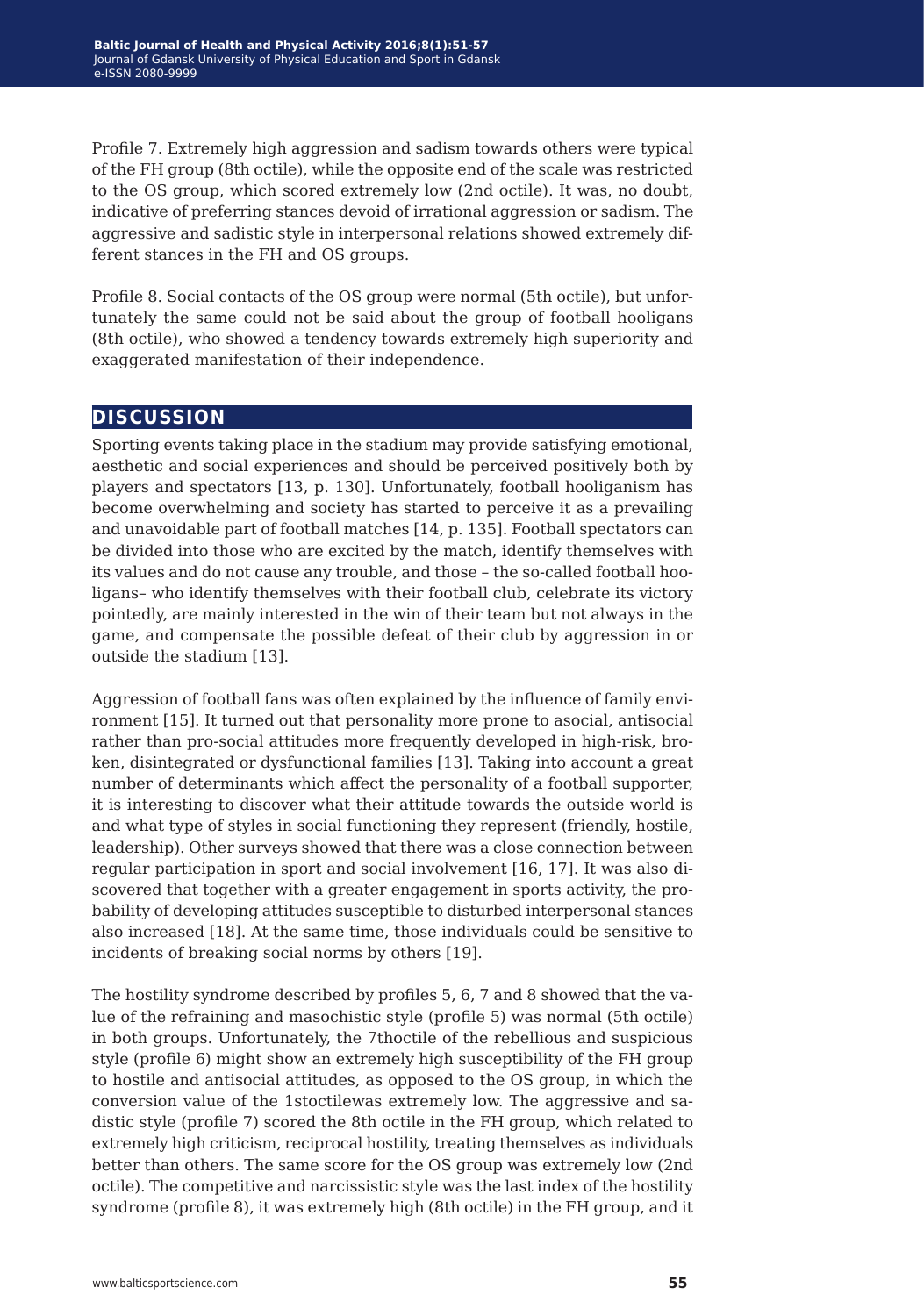Profile 7. Extremely high aggression and sadism towards others were typical of the FH group (8th octile), while the opposite end of the scale was restricted to the OS group, which scored extremely low (2nd octile). It was, no doubt, indicative of preferring stances devoid of irrational aggression or sadism. The aggressive and sadistic style in interpersonal relations showed extremely different stances in the FH and OS groups.

Profile 8. Social contacts of the OS group were normal (5th octile), but unfortunately the same could not be said about the group of football hooligans (8th octile), who showed a tendency towards extremely high superiority and exaggerated manifestation of their independence.

## **discussion**

Sporting events taking place in the stadium may provide satisfying emotional, aesthetic and social experiences and should be perceived positively both by players and spectators [13, p. 130]. Unfortunately, football hooliganism has become overwhelming and society has started to perceive it as a prevailing and unavoidable part of football matches [14, p. 135]. Football spectators can be divided into those who are excited by the match, identify themselves with its values and do not cause any trouble, and those – the so-called football hooligans– who identify themselves with their football club, celebrate its victory pointedly, are mainly interested in the win of their team but not always in the game, and compensate the possible defeat of their club by aggression in or outside the stadium [13].

Aggression of football fans was often explained by the influence of family environment [15]. It turned out that personality more prone to asocial, antisocial rather than pro-social attitudes more frequently developed in high-risk, broken, disintegrated or dysfunctional families [13]. Taking into account a great number of determinants which affect the personality of a football supporter, it is interesting to discover what their attitude towards the outside world is and what type of styles in social functioning they represent (friendly, hostile, leadership). Other surveys showed that there was a close connection between regular participation in sport and social involvement [16, 17]. It was also discovered that together with a greater engagement in sports activity, the probability of developing attitudes susceptible to disturbed interpersonal stances also increased [18]. At the same time, those individuals could be sensitive to incidents of breaking social norms by others [19].

The hostility syndrome described by profiles 5, 6, 7 and 8 showed that the value of the refraining and masochistic style (profile 5) was normal (5th octile) in both groups. Unfortunately, the 7thoctile of the rebellious and suspicious style (profile 6) might show an extremely high susceptibility of the FH group to hostile and antisocial attitudes, as opposed to the OS group, in which the conversion value of the 1stoctilewas extremely low. The aggressive and sadistic style (profile 7) scored the 8th octile in the FH group, which related to extremely high criticism, reciprocal hostility, treating themselves as individuals better than others. The same score for the OS group was extremely low (2nd octile). The competitive and narcissistic style was the last index of the hostility syndrome (profile 8), it was extremely high (8th octile) in the FH group, and it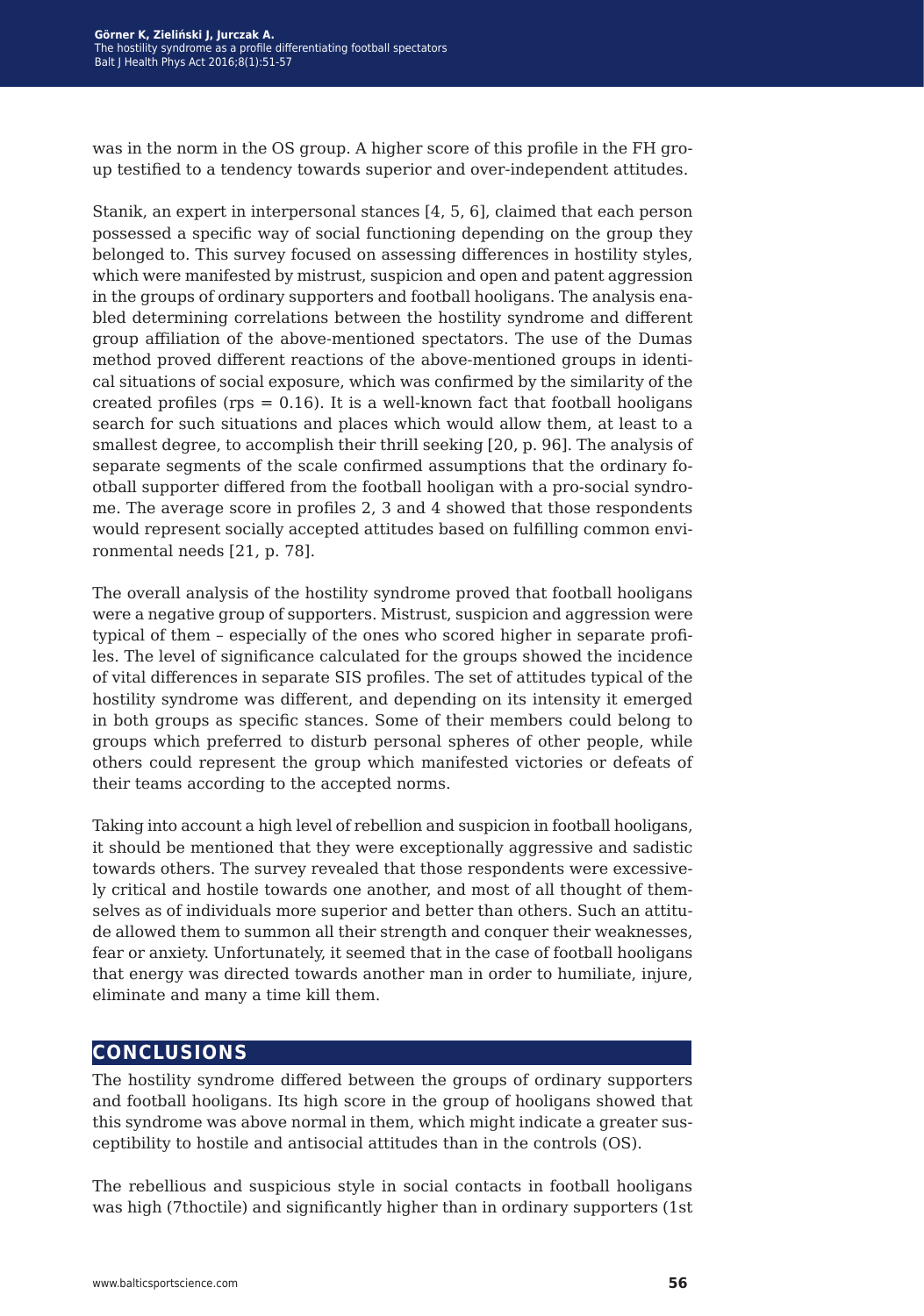was in the norm in the OS group. A higher score of this profile in the FH group testified to a tendency towards superior and over-independent attitudes.

Stanik, an expert in interpersonal stances [4, 5, 6], claimed that each person possessed a specific way of social functioning depending on the group they belonged to. This survey focused on assessing differences in hostility styles, which were manifested by mistrust, suspicion and open and patent aggression in the groups of ordinary supporters and football hooligans. The analysis enabled determining correlations between the hostility syndrome and different group affiliation of the above-mentioned spectators. The use of the Dumas method proved different reactions of the above-mentioned groups in identical situations of social exposure, which was confirmed by the similarity of the created profiles ( $rps = 0.16$ ). It is a well-known fact that football hooligans search for such situations and places which would allow them, at least to a smallest degree, to accomplish their thrill seeking [20, p. 96]. The analysis of separate segments of the scale confirmed assumptions that the ordinary football supporter differed from the football hooligan with a pro-social syndrome. The average score in profiles 2, 3 and 4 showed that those respondents would represent socially accepted attitudes based on fulfilling common environmental needs [21, p. 78].

The overall analysis of the hostility syndrome proved that football hooligans were a negative group of supporters. Mistrust, suspicion and aggression were typical of them – especially of the ones who scored higher in separate profiles. The level of significance calculated for the groups showed the incidence of vital differences in separate SIS profiles. The set of attitudes typical of the hostility syndrome was different, and depending on its intensity it emerged in both groups as specific stances. Some of their members could belong to groups which preferred to disturb personal spheres of other people, while others could represent the group which manifested victories or defeats of their teams according to the accepted norms.

Taking into account a high level of rebellion and suspicion in football hooligans, it should be mentioned that they were exceptionally aggressive and sadistic towards others. The survey revealed that those respondents were excessively critical and hostile towards one another, and most of all thought of themselves as of individuals more superior and better than others. Such an attitude allowed them to summon all their strength and conquer their weaknesses, fear or anxiety. Unfortunately, it seemed that in the case of football hooligans that energy was directed towards another man in order to humiliate, injure, eliminate and many a time kill them.

### **conclusions**

The hostility syndrome differed between the groups of ordinary supporters and football hooligans. Its high score in the group of hooligans showed that this syndrome was above normal in them, which might indicate a greater susceptibility to hostile and antisocial attitudes than in the controls (OS).

The rebellious and suspicious style in social contacts in football hooligans was high (7thoctile) and significantly higher than in ordinary supporters (1st